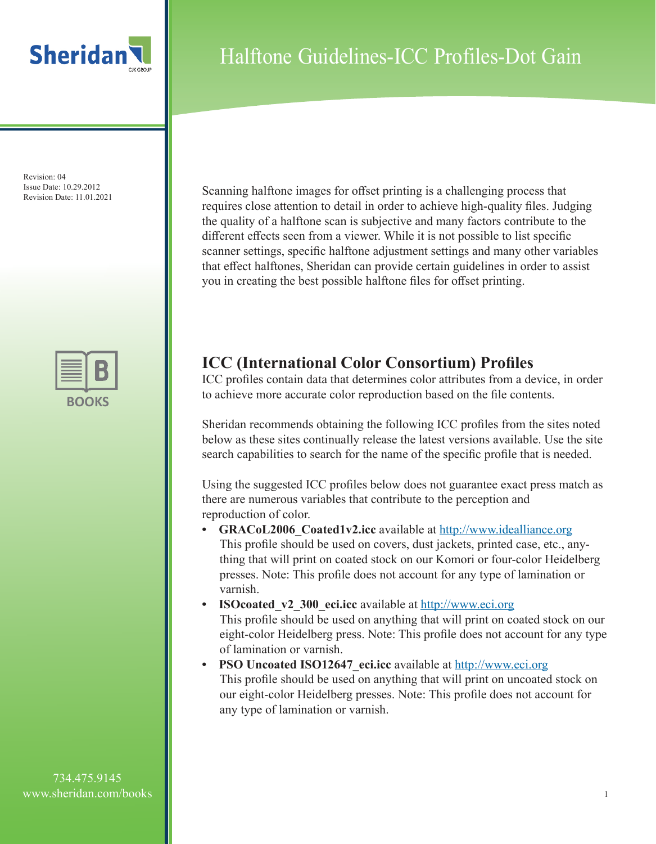

Revision: 04 Issue Date: 10.29.2012

## Halftone Guidelines-ICC Profiles-Dot Gain

Issue Date:  $10.29.2012$ <br>Revision Date: 11.01.2021 Scanning halftone images for offset printing is a challenging process that requires close attention to detail in order to achieve high-quality files. Judging the quality of a halftone scan is subjective and many factors contribute to the different effects seen from a viewer. While it is not possible to list specific scanner settings, specific halftone adjustment settings and many other variables that effect halftones, Sheridan can provide certain guidelines in order to assist you in creating the best possible halftone files for offset printing.

### **ICC (International Color Consortium) Profiles**

ICC profiles contain data that determines color attributes from a device, in order to achieve more accurate color reproduction based on the file contents.

Sheridan recommends obtaining the following ICC profiles from the sites noted below as these sites continually release the latest versions available. Use the site search capabilities to search for the name of the specific profile that is needed.

Using the suggested ICC profiles below does not guarantee exact press match as there are numerous variables that contribute to the perception and reproduction of color.

- **GRACoL2006\_Coated1v2.icc** available at http://www.idealliance.org This profile should be used on covers, dust jackets, printed case, etc., anything that will print on coated stock on our Komori or four-color Heidelberg presses. Note: This profile does not account for any type of lamination or varnish.
- **ISOcoated v2 300 eci.icc** available at http://www.eci.org This profile should be used on anything that will print on coated stock on our eight-color Heidelberg press. Note: This profile does not account for any type of lamination or varnish.
- **PSO Uncoated ISO12647\_eci.icc** available at http://www.eci.org This profile should be used on anything that will print on uncoated stock on our eight-color Heidelberg presses. Note: This profile does not account for any type of lamination or varnish.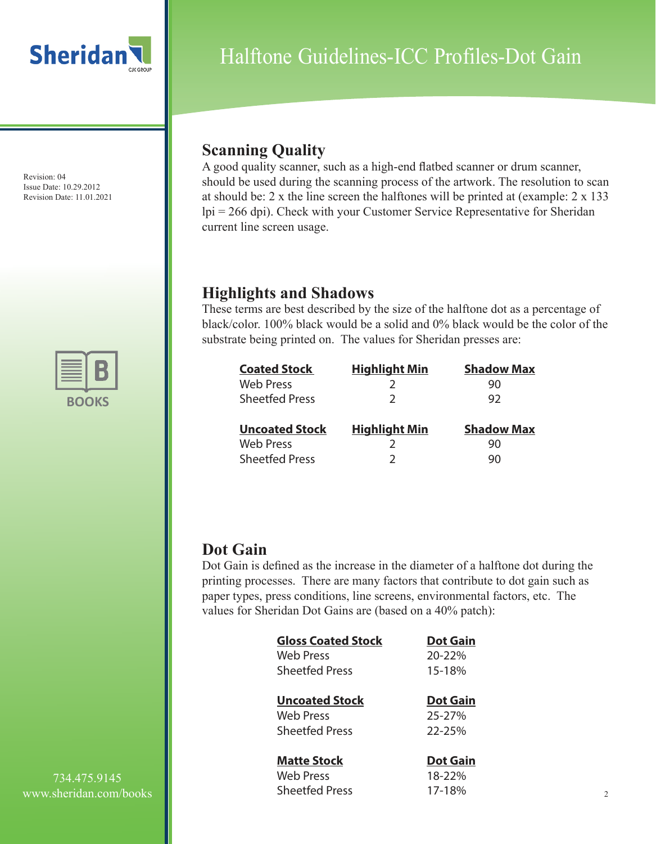

Revision: 04 Issue Date: 10.29.2012 Revision Date: 11.01.2021



# Halftone Guidelines-ICC Profiles-Dot Gain

## **Scanning Quality**

A good quality scanner, such as a high-end flatbed scanner or drum scanner, should be used during the scanning process of the artwork. The resolution to scan at should be: 2 x the line screen the halftones will be printed at (example: 2 x 133 lpi = 266 dpi). Check with your Customer Service Representative for Sheridan current line screen usage.

### **Highlights and Shadows**

These terms are best described by the size of the halftone dot as a percentage of black/color. 100% black would be a solid and 0% black would be the color of the substrate being printed on. The values for Sheridan presses are:

| <b>Coated Stock</b>   | <b>Highlight Min</b> | <b>Shadow Max</b> |
|-----------------------|----------------------|-------------------|
| <b>Web Press</b>      |                      | 90                |
| <b>Sheetfed Press</b> |                      | 92                |
| <b>Uncoated Stock</b> | <b>Highlight Min</b> | <b>Shadow Max</b> |
| <b>Web Press</b>      |                      | 90                |
| <b>Sheetfed Press</b> |                      | 90                |

### **Dot Gain**

Dot Gain is defined as the increase in the diameter of a halftone dot during the printing processes. There are many factors that contribute to dot gain such as paper types, press conditions, line screens, environmental factors, etc. The values for Sheridan Dot Gains are (based on a 40% patch):

| <b>Gloss Coated Stock</b> | <b>Dot Gain</b> |
|---------------------------|-----------------|
| <b>Web Press</b>          | 20-22%          |
| <b>Sheetfed Press</b>     | 15-18%          |
| <b>Uncoated Stock</b>     | <b>Dot Gain</b> |
| Web Press                 | 25-27%          |
| <b>Sheetfed Press</b>     | 22-25%          |
| <b>Matte Stock</b>        | <b>Dot Gain</b> |
| <b>Web Press</b>          | 18-22%          |
| <b>Sheetfed Press</b>     | 17-18%          |